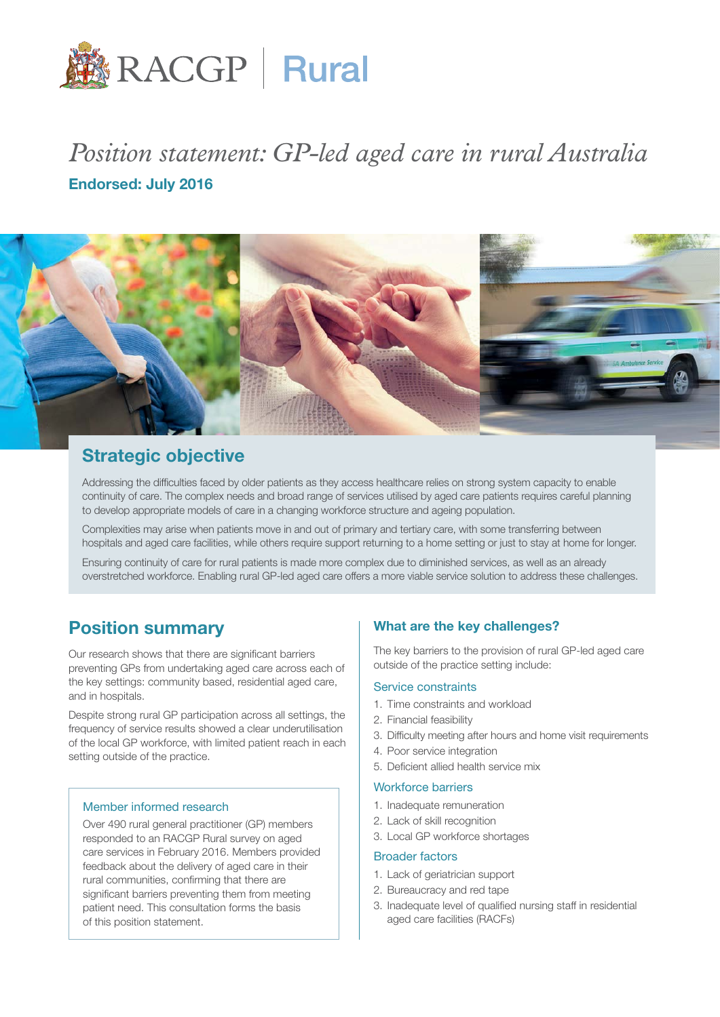

# *Position statement: GP-led aged care in rural Australia* Endorsed: July 2016



# Strategic objective

Addressing the difficulties faced by older patients as they access healthcare relies on strong system capacity to enable continuity of care. The complex needs and broad range of services utilised by aged care patients requires careful planning to develop appropriate models of care in a changing workforce structure and ageing population.

Complexities may arise when patients move in and out of primary and tertiary care, with some transferring between hospitals and aged care facilities, while others require support returning to a home setting or just to stay at home for longer.

Ensuring continuity of care for rural patients is made more complex due to diminished services, as well as an already overstretched workforce. Enabling rural GP-led aged care offers a more viable service solution to address these challenges.

# Position summary

Our research shows that there are significant barriers preventing GPs from undertaking aged care across each of the key settings: community based, residential aged care, and in hospitals.

Despite strong rural GP participation across all settings, the frequency of service results showed a clear underutilisation of the local GP workforce, with limited patient reach in each setting outside of the practice.

#### Member informed research

Over 490 rural general practitioner (GP) members responded to an RACGP Rural survey on aged care services in February 2016. Members provided feedback about the delivery of aged care in their rural communities, confirming that there are significant barriers preventing them from meeting patient need. This consultation forms the basis of this position statement.

# What are the key challenges?

The key barriers to the provision of rural GP-led aged care outside of the practice setting include:

#### Service constraints

- 1. Time constraints and workload
- 2. Financial feasibility
- 3. Difficulty meeting after hours and home visit requirements
- 4. Poor service integration
- 5. Deficient allied health service mix

#### Workforce barriers

- 1. Inadequate remuneration
- 2. Lack of skill recognition
- 3. Local GP workforce shortages

#### Broader factors

- 1. Lack of geriatrician support
- 2. Bureaucracy and red tape
- 3. Inadequate level of qualified nursing staff in residential aged care facilities (RACFs)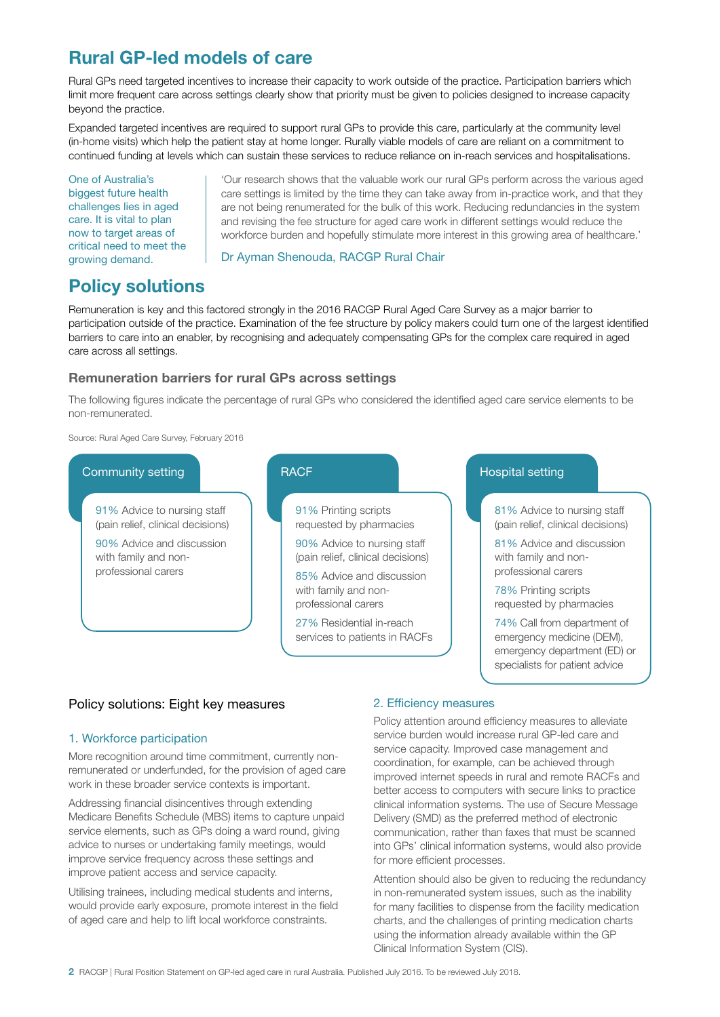# Rural GP-led models of care

Rural GPs need targeted incentives to increase their capacity to work outside of the practice. Participation barriers which limit more frequent care across settings clearly show that priority must be given to policies designed to increase capacity beyond the practice.

Expanded targeted incentives are required to support rural GPs to provide this care, particularly at the community level (in-home visits) which help the patient stay at home longer. Rurally viable models of care are reliant on a commitment to continued funding at levels which can sustain these services to reduce reliance on in-reach services and hospitalisations.

One of Australia's biggest future health challenges lies in aged care. It is vital to plan now to target areas of critical need to meet the growing demand.

'Our research shows that the valuable work our rural GPs perform across the various aged care settings is limited by the time they can take away from in-practice work, and that they are not being renumerated for the bulk of this work. Reducing redundancies in the system and revising the fee structure for aged care work in different settings would reduce the workforce burden and hopefully stimulate more interest in this growing area of healthcare.'

#### Dr Ayman Shenouda, RACGP Rural Chair

# Policy solutions

Remuneration is key and this factored strongly in the 2016 RACGP Rural Aged Care Survey as a major barrier to participation outside of the practice. Examination of the fee structure by policy makers could turn one of the largest identified barriers to care into an enabler, by recognising and adequately compensating GPs for the complex care required in aged care across all settings.

# Remuneration barriers for rural GPs across settings

The following figures indicate the percentage of rural GPs who considered the identified aged care service elements to be non-remunerated.

Source: Rural Aged Care Survey, February 2016

#### Community setting

91% Advice to nursing staff (pain relief, clinical decisions)

90% Advice and discussion with family and nonprofessional carers



# Hospital setting

81% Advice to nursing staff (pain relief, clinical decisions)

81% Advice and discussion with family and nonprofessional carers

78% Printing scripts requested by pharmacies

74% Call from department of emergency medicine (DEM), emergency department (ED) or specialists for patient advice

# Policy solutions: Eight key measures

# 1. Workforce participation

More recognition around time commitment, currently nonremunerated or underfunded, for the provision of aged care work in these broader service contexts is important.

Addressing financial disincentives through extending Medicare Benefits Schedule (MBS) items to capture unpaid service elements, such as GPs doing a ward round, giving advice to nurses or undertaking family meetings, would improve service frequency across these settings and improve patient access and service capacity.

Utilising trainees, including medical students and interns, would provide early exposure, promote interest in the field of aged care and help to lift local workforce constraints.

# 2. Efficiency measures

Policy attention around efficiency measures to alleviate service burden would increase rural GP-led care and service capacity. Improved case management and coordination, for example, can be achieved through improved internet speeds in rural and remote RACFs and better access to computers with secure links to practice clinical information systems. The use of Secure Message Delivery (SMD) as the preferred method of electronic communication, rather than faxes that must be scanned into GPs' clinical information systems, would also provide for more efficient processes.

Attention should also be given to reducing the redundancy in non-remunerated system issues, such as the inability for many facilities to dispense from the facility medication charts, and the challenges of printing medication charts using the information already available within the GP Clinical Information System (CIS).